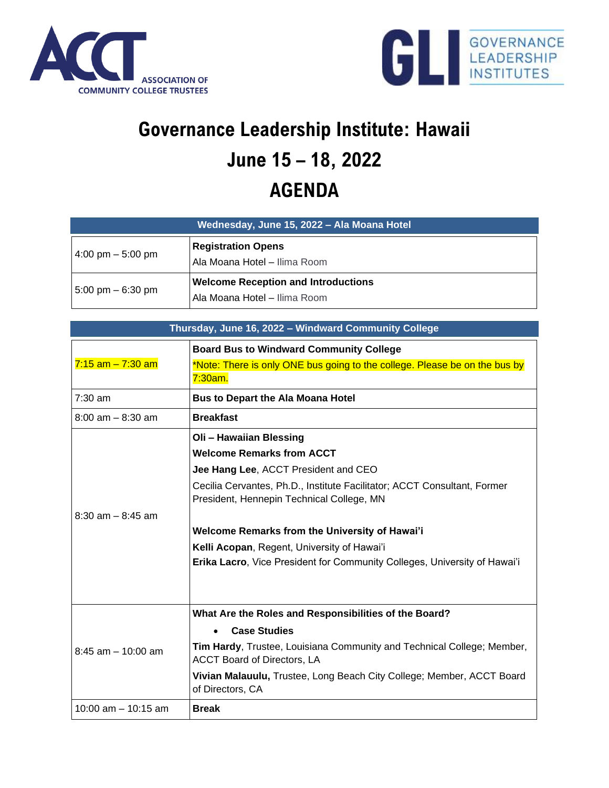



## **Governance Leadership Institute: Hawaii June 15 – 18, 2022 AGENDA**

| Wednesday, June 15, 2022 - Ala Moana Hotel |                                                                            |  |
|--------------------------------------------|----------------------------------------------------------------------------|--|
| $4:00 \text{ pm} - 5:00 \text{ pm}$        | <b>Registration Opens</b><br>Ala Moana Hotel - Ilima Room                  |  |
| 5:00 pm – 6:30 pm                          | <b>Welcome Reception and Introductions</b><br>Ala Moana Hotel - Ilima Room |  |

| Thursday, June 16, 2022 - Windward Community College |                                                                                                                                                                                                                                                                                                                                                                                                                   |  |
|------------------------------------------------------|-------------------------------------------------------------------------------------------------------------------------------------------------------------------------------------------------------------------------------------------------------------------------------------------------------------------------------------------------------------------------------------------------------------------|--|
| $7:15$ am $-7:30$ am                                 | <b>Board Bus to Windward Community College</b><br>*Note: There is only ONE bus going to the college. Please be on the bus by<br>7:30am.                                                                                                                                                                                                                                                                           |  |
| $7:30$ am                                            | <b>Bus to Depart the Ala Moana Hotel</b>                                                                                                                                                                                                                                                                                                                                                                          |  |
| $8:00$ am $- 8:30$ am                                | <b>Breakfast</b>                                                                                                                                                                                                                                                                                                                                                                                                  |  |
| $8:30$ am $-8:45$ am                                 | Oli - Hawaiian Blessing<br><b>Welcome Remarks from ACCT</b><br>Jee Hang Lee, ACCT President and CEO<br>Cecilia Cervantes, Ph.D., Institute Facilitator; ACCT Consultant, Former<br>President, Hennepin Technical College, MN<br><b>Welcome Remarks from the University of Hawai'i</b><br>Kelli Acopan, Regent, University of Hawai'i<br>Erika Lacro, Vice President for Community Colleges, University of Hawai'i |  |
| $8:45$ am $-10:00$ am                                | What Are the Roles and Responsibilities of the Board?<br><b>Case Studies</b><br>Tim Hardy, Trustee, Louisiana Community and Technical College; Member,<br><b>ACCT Board of Directors, LA</b><br>Vivian Malauulu, Trustee, Long Beach City College; Member, ACCT Board<br>of Directors, CA                                                                                                                         |  |
| 10:00 $am - 10:15 am$                                | <b>Break</b>                                                                                                                                                                                                                                                                                                                                                                                                      |  |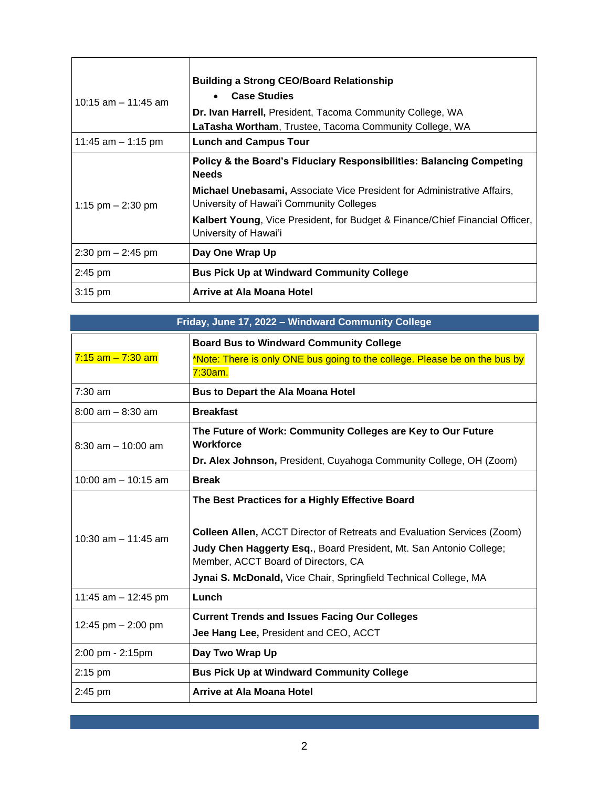| $10:15$ am $-11:45$ am | <b>Building a Strong CEO/Board Relationship</b><br><b>Case Studies</b><br>Dr. Ivan Harrell, President, Tacoma Community College, WA<br>LaTasha Wortham, Trustee, Tacoma Community College, WA |
|------------------------|-----------------------------------------------------------------------------------------------------------------------------------------------------------------------------------------------|
| 11:45 am $-$ 1:15 pm   | <b>Lunch and Campus Tour</b>                                                                                                                                                                  |
| 1:15 pm $-$ 2:30 pm    | Policy & the Board's Fiduciary Responsibilities: Balancing Competing<br><b>Needs</b>                                                                                                          |
|                        | <b>Michael Unebasami, Associate Vice President for Administrative Affairs,</b><br>University of Hawai'i Community Colleges                                                                    |
|                        | <b>Kalbert Young</b> , Vice President, for Budget & Finance/Chief Financial Officer,<br>University of Hawai'i                                                                                 |
| $2:30$ pm $- 2:45$ pm  | Day One Wrap Up                                                                                                                                                                               |
| $2:45$ pm              | <b>Bus Pick Up at Windward Community College</b>                                                                                                                                              |
| $3:15$ pm              | Arrive at Ala Moana Hotel                                                                                                                                                                     |

| Friday, June 17, 2022 - Windward Community College |                                                                                                                                                                                                                                                                                                                    |  |
|----------------------------------------------------|--------------------------------------------------------------------------------------------------------------------------------------------------------------------------------------------------------------------------------------------------------------------------------------------------------------------|--|
| $7:15$ am $-7:30$ am                               | <b>Board Bus to Windward Community College</b><br>*Note: There is only ONE bus going to the college. Please be on the bus by<br>7:30am.                                                                                                                                                                            |  |
| $7:30$ am                                          | <b>Bus to Depart the Ala Moana Hotel</b>                                                                                                                                                                                                                                                                           |  |
| $8:00$ am $-8:30$ am                               | <b>Breakfast</b>                                                                                                                                                                                                                                                                                                   |  |
| $8:30$ am $-10:00$ am                              | The Future of Work: Community Colleges are Key to Our Future<br>Workforce<br>Dr. Alex Johnson, President, Cuyahoga Community College, OH (Zoom)                                                                                                                                                                    |  |
| $10:00$ am $-10:15$ am                             | <b>Break</b>                                                                                                                                                                                                                                                                                                       |  |
| $10:30$ am $-11:45$ am                             | The Best Practices for a Highly Effective Board<br><b>Colleen Allen, ACCT Director of Retreats and Evaluation Services (Zoom)</b><br>Judy Chen Haggerty Esq., Board President, Mt. San Antonio College;<br>Member, ACCT Board of Directors, CA<br>Jynai S. McDonald, Vice Chair, Springfield Technical College, MA |  |
| 11:45 am $-$ 12:45 pm                              | Lunch                                                                                                                                                                                                                                                                                                              |  |
| 12:45 pm $-$ 2:00 pm                               | <b>Current Trends and Issues Facing Our Colleges</b><br>Jee Hang Lee, President and CEO, ACCT                                                                                                                                                                                                                      |  |
| 2:00 pm - 2:15pm                                   | Day Two Wrap Up                                                                                                                                                                                                                                                                                                    |  |
| $2:15$ pm                                          | <b>Bus Pick Up at Windward Community College</b>                                                                                                                                                                                                                                                                   |  |
| 2:45 pm                                            | Arrive at Ala Moana Hotel                                                                                                                                                                                                                                                                                          |  |